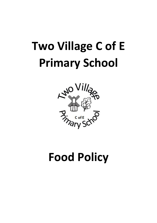# **Two Village C of E Primary School**



## **Food Policy**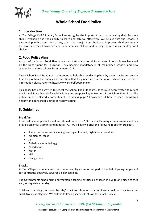

### **Whole School Food Policy**

#### **1. Introduction**

At Two Village C of E Primary School we recognise the important part that a healthy diet plays in a child's wellbeing and their ability to learn and achieve effectively. We believe that the school, in partnership with parents and carers, can make a major contribution to improving children's health by increasing their knowledge and understanding of food and helping them to make healthy food choices.

#### **2. Food Policy Aims**

As part of the School Food Plan, a new set of standards for all food served in schools was launched by the Department for Education. They become mandatory in all maintained schools, and new academies and free schools from January 2015.

These School Food Standards are intended to help children develop healthy eating habits and ensure that they obtain the energy and nutrition that they need across the whole school day. For more information please refer to: http://www.schoolfoodplan.com

This policy has been written to reflect the School Food Standards. It has also been written to reflect the Eatwell Plate Model of Healthy Eating and supports key outcomes of the School Food Plan. The policy supports Ofsted's commitments to assess pupils' knowledge of how to keep themselves healthy and our school's ethos of healthy eating.

#### **3. Guidelines**

#### **Breakfast**

Breakfast is an important meal and should make up a 1/4 of a child's energy requirements and can provide essential vitamins and minerals. At Two Village we offer the following foods for breakfast:

- A selection of cereals including low sugar, low salt, high fibre alternatives.
- Wholemeal toast
- $\bullet$  lam
- Boiled or scrambled egg
- $\bullet$  Baked beans
- Water
- Milk
- Orange juice

#### **Snacks**

At Two Village we understand that snacks can play an important part of the diet of young people and can contribute positively towards a balanced diet.

The Governments school fruit and vegetable scheme entitles all children in KS1 to one piece of fruit and/ or vegetable per day.

Children may bring their own 'healthy' snack to school or may purchase a healthy snack from our snack trolley at playtime. We sell the following snacks/drinks on the Snack Trolley:

*Sowing the Seeds for Success – With God Nothing is Impossible*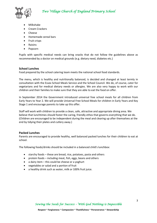

- Milkshake
- Cream Crackers
- Cheese
- Homemade cereal bars
- Fruit crisps
- Raisins
- Popcorn

Pupils with specific medical needs can bring snacks that do not follow the guidelines above as recommended by a doctor on medical grounds (e.g. dietary need, diabetes etc.)

#### **School Lunches**

Food prepared by the school catering team meets the national school food standards.

The menu, which is healthy and nutritionally balanced, is decided and changed at least termly in consultation with the Essex School Meals Service and the School Council. We do, of course, cater for vegetarians and for medical dietary needs or allergies. We are also very happy to work with our children and their families to make sure that they are able to eat the food on offer.

In September 2014 the Government introduced universal free school meals for all children from Early Years to Year 2. We will provide Universal Free School Meals for children in Early Years and Key Stage 1 and encourage parents to take up this offer.

Staff will work with children to provide a clean, safe, attractive and appropriate dining area. We believe that lunchtimes should foster the caring, friendly ethos that governs everything that we do. (Children are encouraged to be independent during the meal and clearing up after themselves at the end by tidying their plates and cutlery away.)

#### **Packed Lunches**

Parents are encouraged to provide healthy, well balanced packed lunches for their children to eat at school.

The following foods/drinks should be included in a balanced child's lunchbox:

- starchy foods these are bread, rice, potatoes, pasta and others
- protein foods including meat, fish, eggs, beans and others
- $\bullet$  a dairy item this could be cheese or a yoghurt
- vegetables or salad and a portion of fruit
- a healthy drink such as water, milk or 100% fruit juice.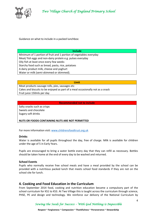

Guidance on what to include in a packed lunchbox:

#### **Include**

Minimum of 1 portion of fruit and 1 portion of vegetables everyday Meat/ fish eggs and non-dairy protein e.g. pulses everyday Oily fish at least once every few weeks Starchy food such as bread, pasta, rice, potatoes A dairy product milk, cheese and yoghurt Water or milk (semi-skimmed or skimmed).

#### **Limit**

Meat products sausage rolls, pies, sausages etc Cakes and biscuits to be enjoyed as part of a meal occasionally not as a snack Fruit juice 150mls per day

#### **Recommended not to include**

Salty snacks such as crisps Sweets and chocolate Sugary soft drinks

**NUTS OR FOODS CONTAINING NUTS ARE NOT PERMITTED**

For more information visit[: www.childrensfoodtrust.org.uk](http://www.childrensfoodtrust.org.uk/)

#### **Drinks**

Water is available for all pupils throughout the day, free of charge. Milk is available for children under the age of 5 in Early Years.

Pupils are encouraged to bring a water bottle every day that they can refill as necessary. Bottles should be taken home at the end of every day to be washed and returned.

#### **School Events**

Pupils who normally receive free school meals and have a meal provided by the school can be provided with a nutritious packed lunch that meets school food standards if they are not on the school site for lunch.

#### **4. Cooking and Food Education in the Curriculum**

From September 2014 food, cooking and nutrition education became a compulsory part of the school curriculum for KS1 to KS3. At Two Village this is taught across the curriculum through science, PHSE, PE and design and technology. We reinforce our delivery of the National Curriculum by

*Sowing the Seeds for Success – With God Nothing is Impossible*